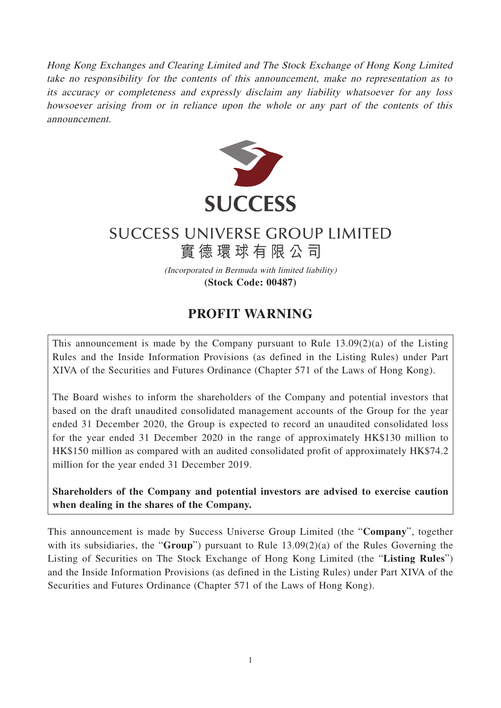Hong Kong Exchanges and Clearing Limited and The Stock Exchange of Hong Kong Limited take no responsibility for the contents of this announcement, make no representation as to its accuracy or completeness and expressly disclaim any liability whatsoever for any loss howsoever arising from or in reliance upon the whole or any part of the contents of this announcement.



## **SUCCESS UNIVERSE GROUP LIMITED**

實德環球有限公司 (Incorporated in Bermuda with limited liability)

**(Stock Code: 00487)**

## **PROFIT WARNING**

This announcement is made by the Company pursuant to Rule 13.09(2)(a) of the Listing Rules and the Inside Information Provisions (as defined in the Listing Rules) under Part XIVA of the Securities and Futures Ordinance (Chapter 571 of the Laws of Hong Kong).

The Board wishes to inform the shareholders of the Company and potential investors that based on the draft unaudited consolidated management accounts of the Group for the year ended 31 December 2020, the Group is expected to record an unaudited consolidated loss for the year ended 31 December 2020 in the range of approximately HK\$130 million to HK\$150 million as compared with an audited consolidated profit of approximately HK\$74.2 million for the year ended 31 December 2019.

**Shareholders of the Company and potential investors are advised to exercise caution when dealing in the shares of the Company.**

This announcement is made by Success Universe Group Limited (the "**Company**", together with its subsidiaries, the "**Group**") pursuant to Rule 13.09(2)(a) of the Rules Governing the Listing of Securities on The Stock Exchange of Hong Kong Limited (the "**Listing Rules**") and the Inside Information Provisions (as defined in the Listing Rules) under Part XIVA of the Securities and Futures Ordinance (Chapter 571 of the Laws of Hong Kong).